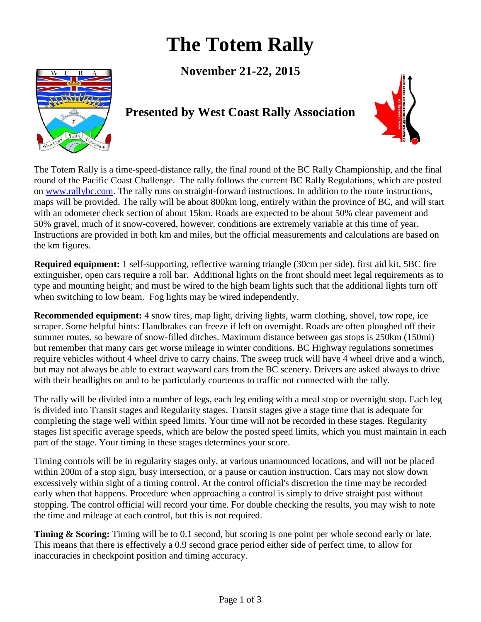# **The Totem Rally**

**November 21-22, 2015**



# **Presented by West Coast Rally Association**



The Totem Rally is a time-speed-distance rally, the final round of the BC Rally Championship, and the final round of the Pacific Coast Challenge. The rally follows the current BC Rally Regulations, which are posted on [www.rallybc.com.](http://www.rallybc.com/) The rally runs on straight-forward instructions. In addition to the route instructions, maps will be provided. The rally will be about 800km long, entirely within the province of BC, and will start with an odometer check section of about 15km. Roads are expected to be about 50% clear pavement and 50% gravel, much of it snow-covered, however, conditions are extremely variable at this time of year. Instructions are provided in both km and miles, but the official measurements and calculations are based on the km figures.

**Required equipment:** 1 self-supporting, reflective warning triangle (30cm per side), first aid kit, 5BC fire extinguisher, open cars require a roll bar. Additional lights on the front should meet legal requirements as to type and mounting height; and must be wired to the high beam lights such that the additional lights turn off when switching to low beam. Fog lights may be wired independently.

**Recommended equipment:** 4 snow tires, map light, driving lights, warm clothing, shovel, tow rope, ice scraper. Some helpful hints: Handbrakes can freeze if left on overnight. Roads are often ploughed off their summer routes, so beware of snow-filled ditches. Maximum distance between gas stops is 250km (150mi) but remember that many cars get worse mileage in winter conditions. BC Highway regulations sometimes require vehicles without 4 wheel drive to carry chains. The sweep truck will have 4 wheel drive and a winch, but may not always be able to extract wayward cars from the BC scenery. Drivers are asked always to drive with their headlights on and to be particularly courteous to traffic not connected with the rally.

The rally will be divided into a number of legs, each leg ending with a meal stop or overnight stop. Each leg is divided into Transit stages and Regularity stages. Transit stages give a stage time that is adequate for completing the stage well within speed limits. Your time will not be recorded in these stages. Regularity stages list specific average speeds, which are below the posted speed limits, which you must maintain in each part of the stage. Your timing in these stages determines your score.

Timing controls will be in regularity stages only, at various unannounced locations, and will not be placed within 200m of a stop sign, busy intersection, or a pause or caution instruction. Cars may not slow down excessively within sight of a timing control. At the control official's discretion the time may be recorded early when that happens. Procedure when approaching a control is simply to drive straight past without stopping. The control official will record your time. For double checking the results, you may wish to note the time and mileage at each control, but this is not required.

**Timing & Scoring:** Timing will be to 0.1 second, but scoring is one point per whole second early or late. This means that there is effectively a 0.9 second grace period either side of perfect time, to allow for inaccuracies in checkpoint position and timing accuracy.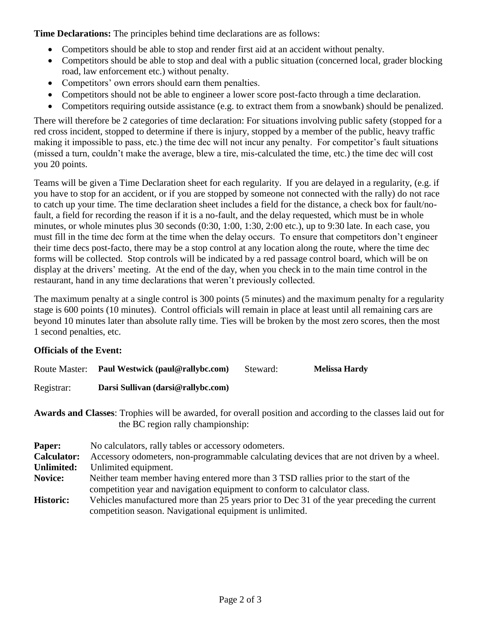**Time Declarations:** The principles behind time declarations are as follows:

- Competitors should be able to stop and render first aid at an accident without penalty.
- Competitors should be able to stop and deal with a public situation (concerned local, grader blocking road, law enforcement etc.) without penalty.
- Competitors' own errors should earn them penalties.
- Competitors should not be able to engineer a lower score post-facto through a time declaration.
- Competitors requiring outside assistance (e.g. to extract them from a snowbank) should be penalized.

There will therefore be 2 categories of time declaration: For situations involving public safety (stopped for a red cross incident, stopped to determine if there is injury, stopped by a member of the public, heavy traffic making it impossible to pass, etc.) the time dec will not incur any penalty. For competitor's fault situations (missed a turn, couldn't make the average, blew a tire, mis-calculated the time, etc.) the time dec will cost you 20 points.

Teams will be given a Time Declaration sheet for each regularity. If you are delayed in a regularity, (e.g. if you have to stop for an accident, or if you are stopped by someone not connected with the rally) do not race to catch up your time. The time declaration sheet includes a field for the distance, a check box for fault/nofault, a field for recording the reason if it is a no-fault, and the delay requested, which must be in whole minutes, or whole minutes plus 30 seconds (0:30, 1:00, 1:30, 2:00 etc.), up to 9:30 late. In each case, you must fill in the time dec form at the time when the delay occurs. To ensure that competitors don't engineer their time decs post-facto, there may be a stop control at any location along the route, where the time dec forms will be collected. Stop controls will be indicated by a red passage control board, which will be on display at the drivers' meeting. At the end of the day, when you check in to the main time control in the restaurant, hand in any time declarations that weren't previously collected.

The maximum penalty at a single control is 300 points (5 minutes) and the maximum penalty for a regularity stage is 600 points (10 minutes). Control officials will remain in place at least until all remaining cars are beyond 10 minutes later than absolute rally time. Ties will be broken by the most zero scores, then the most 1 second penalties, etc.

## **Officials of the Event:**

| <b>Route Master:</b> | Paul Westwick (paul@rallybc.com)   | Steward: | <b>Melissa Hardy</b> |
|----------------------|------------------------------------|----------|----------------------|
| Registrar:           | Darsi Sullivan (darsi@rallybc.com) |          |                      |

**Awards and Classes**: Trophies will be awarded, for overall position and according to the classes laid out for the BC region rally championship:

| Paper:             | No calculators, rally tables or accessory odometers.                                       |  |
|--------------------|--------------------------------------------------------------------------------------------|--|
| <b>Calculator:</b> | Accessory odometers, non-programmable calculating devices that are not driven by a wheel.  |  |
| <b>Unlimited:</b>  | Unlimited equipment.                                                                       |  |
| Novice:            | Neither team member having entered more than 3 TSD rallies prior to the start of the       |  |
|                    | competition year and navigation equipment to conform to calculator class.                  |  |
| <b>Historic:</b>   | Vehicles manufactured more than 25 years prior to Dec 31 of the year preceding the current |  |
|                    | competition season. Navigational equipment is unlimited.                                   |  |